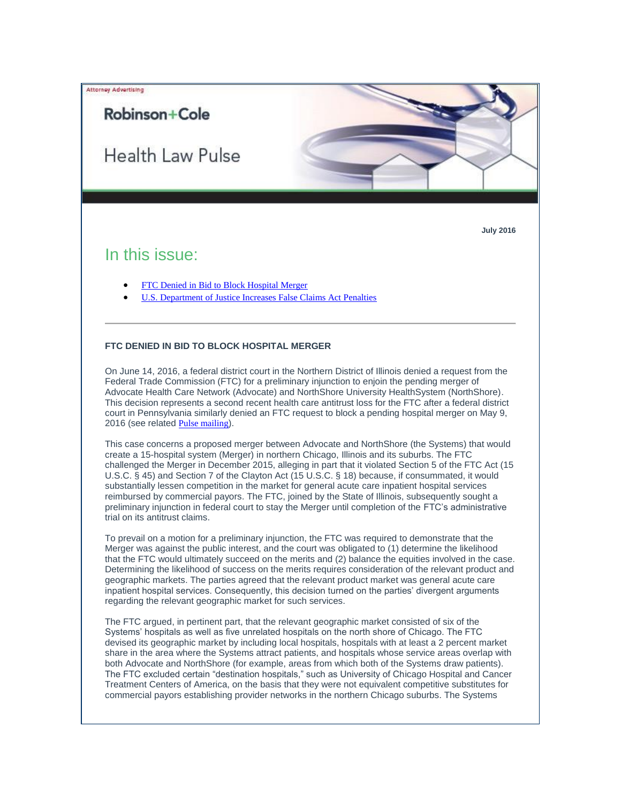

# Robinson+Cole

**Health Law Pulse** 

### **July 2016**

## In this issue:

- [FTC Denied in Bid to Block Hospital Merger](#page-0-0)
- [U.S. Department of Justice Increases False Claims Act Penalties](#page-1-0)

### <span id="page-0-0"></span>**FTC DENIED IN BID TO BLOCK HOSPITAL MERGER**

On June 14, 2016, a federal district court in the Northern District of Illinois denied a request from the Federal Trade Commission (FTC) for a preliminary injunction to enjoin the pending merger of Advocate Health Care Network (Advocate) and NorthShore University HealthSystem (NorthShore). This decision represents a second recent health care antitrust loss for the FTC after a federal district court in Pennsylvania similarly denied an FTC request to block a pending hospital merger on May 9, 2016 (see related [Pulse mailing](http://t2806904.omkt.co/track.aspx?id=402|2AD478|6F10|54A3|120B|0|21FA|1|4C3E49A5&destination=http%3a%2f%2fwww.rc.com%2fpublications%2fupload%2fPulse_6316-3.pdf%3futm_source%3dVocus%26utm_medium%3demail%26utm_campaign%3dRobinson%2b%2526%2bCole%2bLLP%26utm_content%3dBHC%2b%2bPulse%2b%2b71516&dchk=690F1CC9)).

This case concerns a proposed merger between Advocate and NorthShore (the Systems) that would create a 15-hospital system (Merger) in northern Chicago, Illinois and its suburbs. The FTC challenged the Merger in December 2015, alleging in part that it violated Section 5 of the FTC Act (15 U.S.C. § 45) and Section 7 of the Clayton Act (15 U.S.C. § 18) because, if consummated, it would substantially lessen competition in the market for general acute care inpatient hospital services reimbursed by commercial payors. The FTC, joined by the State of Illinois, subsequently sought a preliminary injunction in federal court to stay the Merger until completion of the FTC's administrative trial on its antitrust claims.

To prevail on a motion for a preliminary injunction, the FTC was required to demonstrate that the Merger was against the public interest, and the court was obligated to (1) determine the likelihood that the FTC would ultimately succeed on the merits and (2) balance the equities involved in the case. Determining the likelihood of success on the merits requires consideration of the relevant product and geographic markets. The parties agreed that the relevant product market was general acute care inpatient hospital services. Consequently, this decision turned on the parties' divergent arguments regarding the relevant geographic market for such services.

The FTC argued, in pertinent part, that the relevant geographic market consisted of six of the Systems' hospitals as well as five unrelated hospitals on the north shore of Chicago. The FTC devised its geographic market by including local hospitals, hospitals with at least a 2 percent market share in the area where the Systems attract patients, and hospitals whose service areas overlap with both Advocate and NorthShore (for example, areas from which both of the Systems draw patients). The FTC excluded certain "destination hospitals," such as University of Chicago Hospital and Cancer Treatment Centers of America, on the basis that they were not equivalent competitive substitutes for commercial payors establishing provider networks in the northern Chicago suburbs. The Systems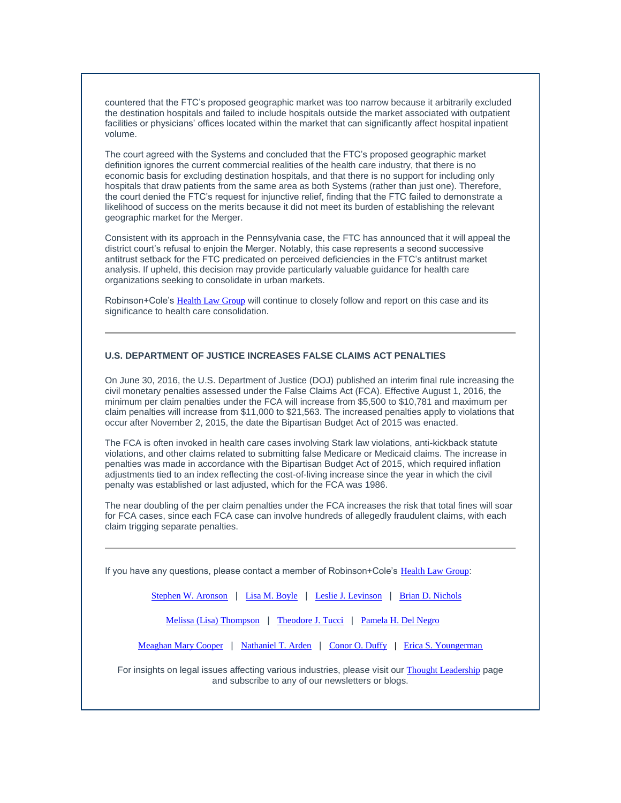countered that the FTC's proposed geographic market was too narrow because it arbitrarily excluded the destination hospitals and failed to include hospitals outside the market associated with outpatient facilities or physicians' offices located within the market that can significantly affect hospital inpatient volume.

The court agreed with the Systems and concluded that the FTC's proposed geographic market definition ignores the current commercial realities of the health care industry, that there is no economic basis for excluding destination hospitals, and that there is no support for including only hospitals that draw patients from the same area as both Systems (rather than just one). Therefore, the court denied the FTC's request for injunctive relief, finding that the FTC failed to demonstrate a likelihood of success on the merits because it did not meet its burden of establishing the relevant geographic market for the Merger.

Consistent with its approach in the Pennsylvania case, the FTC has announced that it will appeal the district court's refusal to enjoin the Merger. Notably, this case represents a second successive antitrust setback for the FTC predicated on perceived deficiencies in the FTC's antitrust market analysis. If upheld, this decision may provide particularly valuable guidance for health care organizations seeking to consolidate in urban markets.

Robinson+Cole's [Health Law Group](http://t2806904.omkt.co/track.aspx?id=402|2AD478|6F10|54A3|120B|0|21FB|1|4C3E49A5&destination=http%3a%2f%2fwww.rc.com%2fpractices%2fHealthLaw%2findex.cfm%3futm_source%3dVocus%26utm_medium%3demail%26utm_campaign%3dRobinson%2b%2526%2bCole%2bLLP%26utm_content%3dBHC%2b%2bPulse%2b%2b71516&dchk=72F34879) will continue to closely follow and report on this case and its significance to health care consolidation.

### <span id="page-1-0"></span>**U.S. DEPARTMENT OF JUSTICE INCREASES FALSE CLAIMS ACT PENALTIES**

On June 30, 2016, the U.S. Department of Justice (DOJ) published an interim final rule increasing the civil monetary penalties assessed under the False Claims Act (FCA). Effective August 1, 2016, the minimum per claim penalties under the FCA will increase from \$5,500 to \$10,781 and maximum per claim penalties will increase from \$11,000 to \$21,563. The increased penalties apply to violations that occur after November 2, 2015, the date the Bipartisan Budget Act of 2015 was enacted.

The FCA is often invoked in health care cases involving Stark law violations, anti-kickback statute violations, and other claims related to submitting false Medicare or Medicaid claims. The increase in penalties was made in accordance with the Bipartisan Budget Act of 2015, which required inflation adjustments tied to an index reflecting the cost-of-living increase since the year in which the civil penalty was established or last adjusted, which for the FCA was 1986.

The near doubling of the per claim penalties under the FCA increases the risk that total fines will soar for FCA cases, since each FCA case can involve hundreds of allegedly fraudulent claims, with each claim trigging separate penalties.

If you have any questions, please contact a member of Robinson+Cole's [Health Law Group](http://t2806904.omkt.co/track.aspx?id=402|2AD478|6F10|54A3|120B|0|21FB|1|4C3E49A5&destination=http%3a%2f%2fwww.rc.com%2fpractices%2fHealthLaw%2findex.cfm%3futm_source%3dVocus%26utm_medium%3demail%26utm_campaign%3dRobinson%2b%2526%2bCole%2bLLP%26utm_content%3dBHC%2b%2bPulse%2b%2b71516&dchk=72F34879):

| Stephen W. Aronson   Lisa M. Boyle   Leslie J. Levinson   Brian D. Nichols |  |  |
|----------------------------------------------------------------------------|--|--|
|                                                                            |  |  |

[Melissa \(Lisa\) Thompson](http://t2806904.omkt.co/track.aspx?id=402|2AD478|6F10|54A3|120B|0|2200|1|4C3E49A5&destination=http%3a%2f%2fwww.rc.com%2fpeople%2fMelissaMThompson.cfm%3futm_source%3dVocus%26utm_medium%3demail%26utm_campaign%3dRobinson%2b%2526%2bCole%2bLLP%26utm_content%3dBHC%2b%2bPulse%2b%2b71516&dchk=7CF0558F) | [Theodore J. Tucci](http://t2806904.omkt.co/track.aspx?id=402|2AD478|6F10|54A3|120B|0|2201|1|4C3E49A5&destination=http%3a%2f%2fwww.rc.com%2fpeople%2fTheodoreJTucci.cfm%3futm_source%3dVocus%26utm_medium%3demail%26utm_campaign%3dRobinson%2b%2526%2bCole%2bLLP%26utm_content%3dBHC%2b%2bPulse%2b%2b71516&dchk=7ECED40B) | [Pamela H. Del Negro](http://t2806904.omkt.co/track.aspx?id=402|2AD478|6F10|54A3|120B|0|2202|1|4C3E49A5&destination=http%3a%2f%2fwww.rc.com%2fpeople%2fPamelaHDelNegro.cfm%3futm_source%3dVocus%26utm_medium%3demail%26utm_campaign%3dRobinson%2b%2526%2bCole%2bLLP%26utm_content%3dBHC%2b%2bPulse%2b%2b71516&dchk=13CCE391)

[Meaghan Mary Cooper](http://t2806904.omkt.co/track.aspx?id=402|2AD478|6F10|54A3|120B|0|2203|1|4C3E49A5&destination=http%3a%2f%2fwww.rc.com%2fpeople%2fMeaghanMaryCooper.cfm%3futm_source%3dVocus%26utm_medium%3demail%26utm_campaign%3dRobinson%2b%2526%2bCole%2bLLP%26utm_content%3dBHC%2b%2bPulse%2b%2b71516&dchk=7233AAD9) | [Nathaniel T. Arden](http://t2806904.omkt.co/track.aspx?id=402|2AD478|6F10|54A3|120B|0|2204|1|4C3E49A5&destination=http%3a%2f%2fwww.rc.com%2fpeople%2fNathanielTArden.cfm%3futm_source%3dVocus%26utm_medium%3demail%26utm_campaign%3dRobinson%2b%2526%2bCole%2bLLP%26utm_content%3dBHC%2b%2bPulse%2b%2b71516&dchk=132EF3B3) | [Conor O. Duffy](http://t2806904.omkt.co/track.aspx?id=402|2AD478|6F10|54A3|120B|0|2205|1|4C3E49A5&destination=http%3a%2f%2fwww.rc.com%2fpeople%2fConorODuffy.cfm%3futm_source%3dVocus%26utm_medium%3demail%26utm_campaign%3dRobinson%2b%2526%2bCole%2bLLP%26utm_content%3dBHC%2b%2bPulse%2b%2b71516&dchk=1065F7) | [Erica S. Youngerman](http://t2806904.omkt.co/track.aspx?id=402|2AD478|6F10|54A3|120B|0|2206|1|4C3E49A5&destination=http%3a%2f%2fwww.rc.com%2fpeople%2fEricaSYoungerman.cfm%3futm_source%3dVocus%26utm_medium%3demail%26utm_campaign%3dRobinson%2b%2526%2bCole%2bLLP%26utm_content%3dBHC%2b%2bPulse%2b%2b71516&dchk=2F2951AE)

For insights on legal issues affecting various industries, please visit our [Thought Leadership](http://t2806904.omkt.co/track.aspx?id=402|2AD478|6F10|54A3|120B|0|2207|1|4C3E49A5&destination=http%3a%2f%2fwww.rc.com%2fsubscribe-now.cfm%3futm_source%3dVocus%26utm_medium%3demail%26utm_campaign%3dRobinson%2b%2526%2bCole%2bLLP%26utm_content%3dBHC%2b%2bPulse%2b%2b71516&dchk=29CA7C34) page and subscribe to any of our newsletters or blogs.